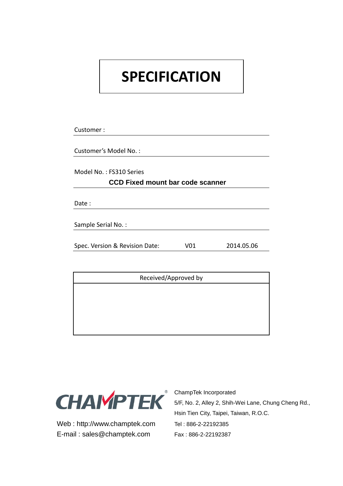# **SPECIFICATION**

Customer : Customer's Model No. : Model No. : FS310 Series **CCD Fixed mount bar code scanner** Date : Sample Serial No. : Spec. Version & Revision Date: V01 2014.05.06

Received/Approved by



Web: http://www.champtek.com Tel: 886-2-22192385 E-mail: sales@champtek.com Fax: 886-2-22192387

ChampTek Incorporated 5/F, No. 2, Alley 2, Shih-Wei Lane, Chung Cheng Rd., Hsin Tien City, Taipei, Taiwan, R.O.C.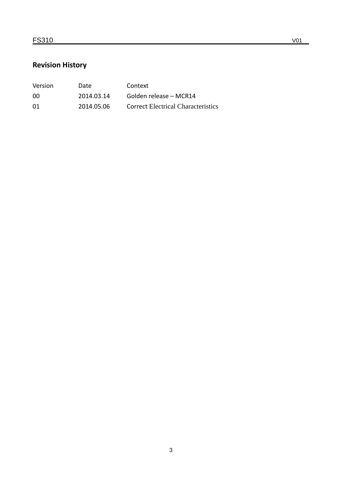### **Revision History**

| <b>Version</b> | Date       | Context                                   |
|----------------|------------|-------------------------------------------|
| 00             | 2014.03.14 | Golden release – MCR14                    |
| 01             | 2014.05.06 | <b>Correct Electrical Characteristics</b> |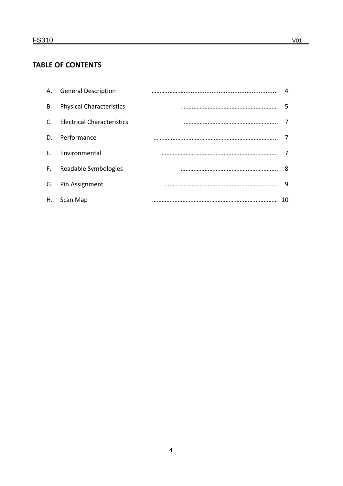#### **TABLE OF CONTENTS**

|           | A. General Description          |  |
|-----------|---------------------------------|--|
| <b>B.</b> | <b>Physical Characteristics</b> |  |
|           | C. Electrical Characteristics   |  |
|           | D. Performance                  |  |
|           | E. Environmental                |  |
|           | F. Readable Symbologies         |  |
|           | G. Pin Assignment               |  |
|           | H. Scan Map                     |  |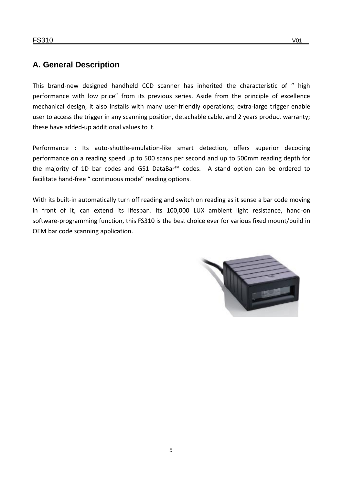#### **A. General Description**

This brand-new designed handheld CCD scanner has inherited the characteristic of " high performance with low price" from its previous series. Aside from the principle of excellence mechanical design, it also installs with many user-friendly operations; extra-large trigger enable user to access the trigger in any scanning position, detachable cable, and 2 years product warranty; these have added-up additional values to it.

Performance : Its auto-shuttle-emulation-like smart detection, offers superior decoding performance on a reading speed up to 500 scans per second and up to 500mm reading depth for the majority of 1D bar codes and GS1 DataBar™ codes. A stand option can be ordered to facilitate hand-free " continuous mode" reading options.

With its built-in automatically turn off reading and switch on reading as it sense a bar code moving in front of it, can extend its lifespan. its 100,000 LUX ambient light resistance, hand-on software-programming function, this FS310 is the best choice ever for various fixed mount/build in OEM bar code scanning application.

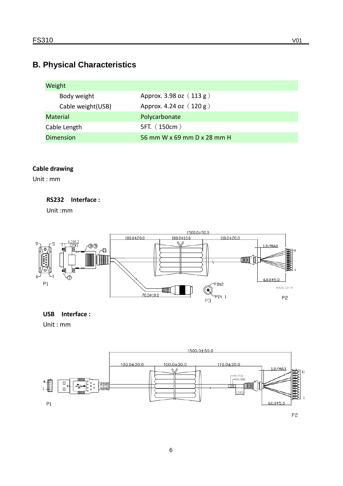## **B. Physical Characteristics**

| Weight             |                             |
|--------------------|-----------------------------|
| Body weight        | Approx. 3.98 oz $(113 g)$   |
| Cable weight (USB) | Approx. 4.24 oz $(120 g)$   |
| <b>Material</b>    | Polycarbonate               |
| Cable Length       | 5FT. (150cm)                |
| Dimension          | 56 mm W x 69 mm D x 28 mm H |

#### **Cable drawing**

Unit : mm

#### **RS232 Interface :**

Unit :mm



## **USB Interface :**

Unit : mm

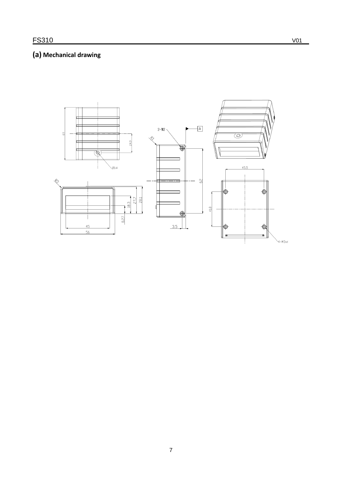### (a) Mechanical drawing

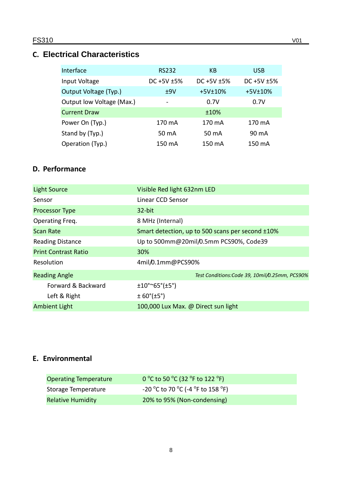#### **C. Electrical Characteristics**

| Interface                 | <b>RS232</b>     | KB                | <b>USB</b>        |
|---------------------------|------------------|-------------------|-------------------|
| Input Voltage             | DC $+5V \pm 5\%$ | DC $+5V$ $\pm 5%$ | DC $+5V$ $\pm 5%$ |
| Output Voltage (Typ.)     | ±9V              | $+5V\pm10%$       | $+5V±10%$         |
| Output low Voltage (Max.) |                  | 0.7V              | 0.7V              |
| <b>Current Draw</b>       |                  | ±10%              |                   |
| Power On (Typ.)           | 170 mA           | 170 mA            | 170 mA            |
| Stand by (Typ.)           | 50 mA            | 50 mA             | 90 mA             |
| Operation (Typ.)          | 150 mA           | 150 mA            | 150 mA            |

#### **D. Performance**

| <b>Light Source</b>         | Visible Red light 632nm LED                      |
|-----------------------------|--------------------------------------------------|
| Sensor                      | Linear CCD Sensor                                |
| <b>Processor Type</b>       | $32$ -bit                                        |
| Operating Freq.             | 8 MHz (Internal)                                 |
| <b>Scan Rate</b>            | Smart detection, up to 500 scans per second ±10% |
| <b>Reading Distance</b>     | Up to 500mm@20mil/0.5mm PCS90%, Code39           |
| <b>Print Contrast Ratio</b> | 30%                                              |
| Resolution                  | 4mil/0.1mm@PCS90%                                |
| <b>Reading Angle</b>        | Test Conditions: Code 39, 10mil/0.25mm, PCS90%   |
| Forward & Backward          | ±10°~65°~(±5°)                                   |
| Left & Right                | $\pm 60^{\circ}(\pm 5^{\circ})$                  |
| <b>Ambient Light</b>        | 100,000 Lux Max. @ Direct sun light              |

#### **E. Environmental**

| <b>Operating Temperature</b> | 0 °C to 50 °C (32 °F to 122 °F)   |
|------------------------------|-----------------------------------|
| Storage Temperature          | -20 °C to 70 °C (-4 °F to 158 °F) |
| <b>Relative Humidity</b>     | 20% to 95% (Non-condensing)       |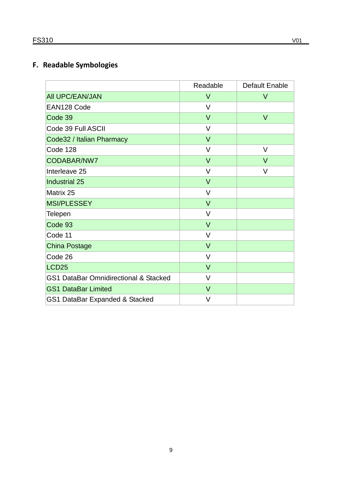### **F. Readable Symbologies**

|                                       | Readable | Default Enable |
|---------------------------------------|----------|----------------|
| <b>AII UPC/EAN/JAN</b>                | $\vee$   | $\vee$         |
| EAN128 Code                           | $\vee$   |                |
| Code 39                               | $\vee$   | $\vee$         |
| Code 39 Full ASCII                    | $\vee$   |                |
| Code32 / Italian Pharmacy             | $\vee$   |                |
| Code 128                              | $\vee$   | V              |
| CODABAR/NW7                           | $\vee$   | $\vee$         |
| Interleave 25                         | $\vee$   | V              |
| <b>Industrial 25</b>                  | $\vee$   |                |
| Matrix 25                             | $\vee$   |                |
| <b>MSI/PLESSEY</b>                    | $\vee$   |                |
| <b>Telepen</b>                        | V        |                |
| Code 93                               | $\vee$   |                |
| Code 11                               | $\vee$   |                |
| <b>China Postage</b>                  | $\vee$   |                |
| Code 26                               | $\vee$   |                |
| LCD <sub>25</sub>                     | $\vee$   |                |
| GS1 DataBar Omnidirectional & Stacked | $\vee$   |                |
| <b>GS1 DataBar Limited</b>            | $\vee$   |                |
| GS1 DataBar Expanded & Stacked        | $\vee$   |                |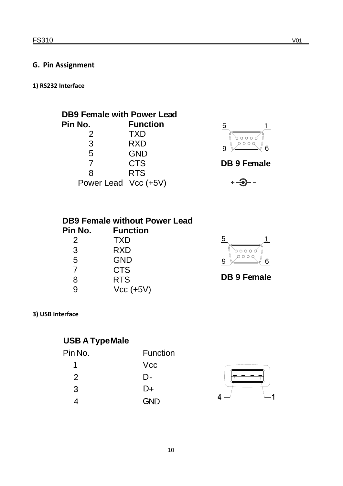#### **G. Pin Assignment**

**1) RS232 Interface**

| <b>DB9 Female with Power Lead</b> |                 |  |
|-----------------------------------|-----------------|--|
| Pin No.                           | <b>Function</b> |  |
| 2                                 | TXD             |  |
| 3                                 | <b>RXD</b>      |  |
| 5                                 | <b>GND</b>      |  |
| 7                                 | <b>CTS</b>      |  |
| 8                                 | <b>RTS</b>      |  |
| Power Lead Vcc (+5V)              |                 |  |



 $\overline{a}$ 

| <b>DB9 Female without Power Lead</b> |                 |  |
|--------------------------------------|-----------------|--|
| Pin No.                              | <b>Function</b> |  |
| 2                                    | <b>TXD</b>      |  |
| 3                                    | <b>RXD</b>      |  |
| 5                                    | <b>GND</b>      |  |
|                                      | <b>CTS</b>      |  |

RTS

Vcc (+5V)



**DB 9 Fe male**

#### **3) USB Interface**

9 8

## **USB A TypeMale**

| Pin No. | <b>Function</b> |
|---------|-----------------|
| 1       | <b>Vcc</b>      |
| 2       | D-              |
| 3       | D+              |
|         | <b>GND</b>      |